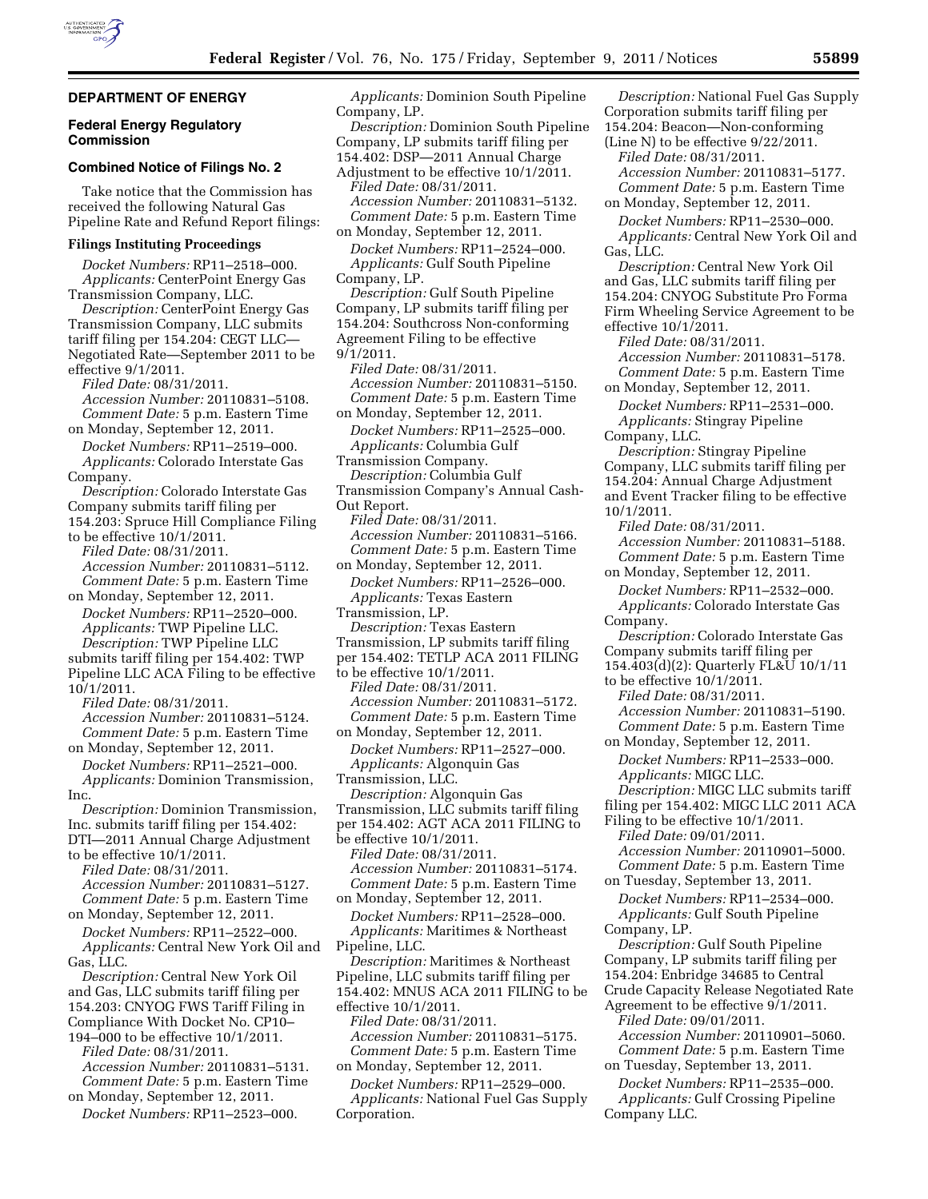# **DEPARTMENT OF ENERGY**

### **Federal Energy Regulatory Commission**

# **Combined Notice of Filings No. 2**

Take notice that the Commission has received the following Natural Gas Pipeline Rate and Refund Report filings:

#### **Filings Instituting Proceedings**

*Docket Numbers:* RP11–2518–000. *Applicants:* CenterPoint Energy Gas Transmission Company, LLC. *Description:* CenterPoint Energy Gas Transmission Company, LLC submits tariff filing per 154.204: CEGT LLC— Negotiated Rate—September 2011 to be effective 9/1/2011. *Filed Date:* 08/31/2011. *Accession Number:* 20110831–5108. *Comment Date:* 5 p.m. Eastern Time on Monday, September 12, 2011. *Docket Numbers:* RP11–2519–000. *Applicants:* Colorado Interstate Gas Company. *Description:* Colorado Interstate Gas Company submits tariff filing per 154.203: Spruce Hill Compliance Filing to be effective 10/1/2011. *Filed Date:* 08/31/2011. *Accession Number:* 20110831–5112. *Comment Date:* 5 p.m. Eastern Time on Monday, September 12, 2011. *Docket Numbers:* RP11–2520–000. *Applicants:* TWP Pipeline LLC. *Description:* TWP Pipeline LLC submits tariff filing per 154.402: TWP Pipeline LLC ACA Filing to be effective 10/1/2011. *Filed Date:* 08/31/2011. *Accession Number:* 20110831–5124. *Comment Date:* 5 p.m. Eastern Time on Monday, September 12, 2011. *Docket Numbers:* RP11–2521–000. *Applicants:* Dominion Transmission, Inc. *Description:* Dominion Transmission, Inc. submits tariff filing per 154.402: DTI—2011 Annual Charge Adjustment to be effective 10/1/2011. *Filed Date:* 08/31/2011. *Accession Number:* 20110831–5127. *Comment Date:* 5 p.m. Eastern Time on Monday, September 12, 2011. *Docket Numbers:* RP11–2522–000. *Applicants:* Central New York Oil and Gas, LLC. *Description:* Central New York Oil and Gas, LLC submits tariff filing per 154.203: CNYOG FWS Tariff Filing in Compliance With Docket No. CP10– 194–000 to be effective 10/1/2011. *Filed Date:* 08/31/2011. *Accession Number:* 20110831–5131. *Comment Date:* 5 p.m. Eastern Time on Monday, September 12, 2011. *Docket Numbers:* RP11–2523–000.

*Applicants:* Dominion South Pipeline Company, LP. *Description:* Dominion South Pipeline Company, LP submits tariff filing per 154.402: DSP—2011 Annual Charge Adjustment to be effective 10/1/2011. *Filed Date:* 08/31/2011. *Accession Number:* 20110831–5132. *Comment Date:* 5 p.m. Eastern Time on Monday, September 12, 2011. *Docket Numbers:* RP11–2524–000. *Applicants:* Gulf South Pipeline Company, LP. *Description:* Gulf South Pipeline Company, LP submits tariff filing per 154.204: Southcross Non-conforming Agreement Filing to be effective 9/1/2011. *Filed Date:* 08/31/2011. *Accession Number:* 20110831–5150. *Comment Date:* 5 p.m. Eastern Time on Monday, September 12, 2011. *Docket Numbers:* RP11–2525–000. *Applicants:* Columbia Gulf Transmission Company. *Description:* Columbia Gulf Transmission Company's Annual Cash-Out Report. *Filed Date:* 08/31/2011. *Accession Number:* 20110831–5166. *Comment Date:* 5 p.m. Eastern Time on Monday, September 12, 2011. *Docket Numbers:* RP11–2526–000. *Applicants:* Texas Eastern Transmission, LP. *Description:* Texas Eastern Transmission, LP submits tariff filing per 154.402: TETLP ACA 2011 FILING to be effective 10/1/2011. *Filed Date:* 08/31/2011. *Accession Number:* 20110831–5172. *Comment Date:* 5 p.m. Eastern Time on Monday, September 12, 2011. *Docket Numbers:* RP11–2527–000. *Applicants:* Algonquin Gas Transmission, LLC. *Description:* Algonquin Gas Transmission, LLC submits tariff filing per 154.402: AGT ACA 2011 FILING to be effective 10/1/2011. *Filed Date:* 08/31/2011. *Accession Number:* 20110831–5174. *Comment Date:* 5 p.m. Eastern Time on Monday, September 12, 2011. *Docket Numbers:* RP11–2528–000. *Applicants:* Maritimes & Northeast Pipeline, LLC. *Description:* Maritimes & Northeast Pipeline, LLC submits tariff filing per 154.402: MNUS ACA 2011 FILING to be effective 10/1/2011. *Filed Date:* 08/31/2011. *Accession Number:* 20110831–5175. *Comment Date:* 5 p.m. Eastern Time on Monday, September 12, 2011. *Docket Numbers:* RP11–2529–000. *Applicants:* National Fuel Gas Supply Corporation.

*Description:* National Fuel Gas Supply Corporation submits tariff filing per 154.204: Beacon—Non-conforming (Line N) to be effective 9/22/2011. *Filed Date:* 08/31/2011. *Accession Number:* 20110831–5177. *Comment Date:* 5 p.m. Eastern Time on Monday, September 12, 2011. *Docket Numbers:* RP11–2530–000. *Applicants:* Central New York Oil and Gas, LLC. *Description:* Central New York Oil and Gas, LLC submits tariff filing per 154.204: CNYOG Substitute Pro Forma Firm Wheeling Service Agreement to be effective 10/1/2011. *Filed Date:* 08/31/2011. *Accession Number:* 20110831–5178. *Comment Date:* 5 p.m. Eastern Time on Monday, September 12, 2011. *Docket Numbers:* RP11–2531–000. *Applicants:* Stingray Pipeline Company, LLC. *Description:* Stingray Pipeline Company, LLC submits tariff filing per 154.204: Annual Charge Adjustment and Event Tracker filing to be effective 10/1/2011. *Filed Date:* 08/31/2011. *Accession Number:* 20110831–5188. *Comment Date:* 5 p.m. Eastern Time on Monday, September 12, 2011. *Docket Numbers:* RP11–2532–000. *Applicants:* Colorado Interstate Gas Company. *Description:* Colorado Interstate Gas Company submits tariff filing per 154.403(d)(2): Quarterly FL&U 10/1/11 to be effective 10/1/2011. *Filed Date:* 08/31/2011. *Accession Number:* 20110831–5190. *Comment Date:* 5 p.m. Eastern Time on Monday, September 12, 2011. *Docket Numbers:* RP11–2533–000. *Applicants:* MIGC LLC. *Description:* MIGC LLC submits tariff filing per 154.402: MIGC LLC 2011 ACA Filing to be effective 10/1/2011. *Filed Date:* 09/01/2011. *Accession Number:* 20110901–5000. *Comment Date:* 5 p.m. Eastern Time on Tuesday, September 13, 2011. *Docket Numbers:* RP11–2534–000. *Applicants:* Gulf South Pipeline Company, LP. *Description:* Gulf South Pipeline Company, LP submits tariff filing per 154.204: Enbridge 34685 to Central Crude Capacity Release Negotiated Rate Agreement to be effective 9/1/2011. *Filed Date:* 09/01/2011. *Accession Number:* 20110901–5060. *Comment Date:* 5 p.m. Eastern Time

on Tuesday, September 13, 2011. *Docket Numbers:* RP11–2535–000. *Applicants:* Gulf Crossing Pipeline Company LLC.